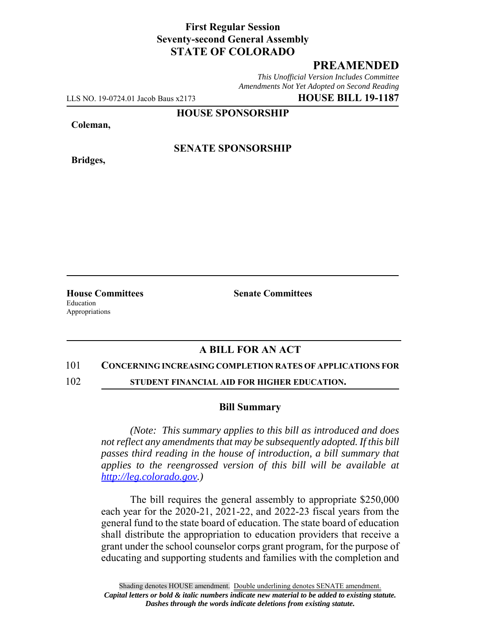## **First Regular Session Seventy-second General Assembly STATE OF COLORADO**

# **PREAMENDED**

*This Unofficial Version Includes Committee Amendments Not Yet Adopted on Second Reading*

LLS NO. 19-0724.01 Jacob Baus x2173 **HOUSE BILL 19-1187**

**HOUSE SPONSORSHIP**

**Coleman,**

**Bridges,**

**SENATE SPONSORSHIP**

Education Appropriations

**House Committees Senate Committees** 

### **A BILL FOR AN ACT**

### 101 **CONCERNING INCREASING COMPLETION RATES OF APPLICATIONS FOR**

102 **STUDENT FINANCIAL AID FOR HIGHER EDUCATION.**

### **Bill Summary**

*(Note: This summary applies to this bill as introduced and does not reflect any amendments that may be subsequently adopted. If this bill passes third reading in the house of introduction, a bill summary that applies to the reengrossed version of this bill will be available at http://leg.colorado.gov.)*

The bill requires the general assembly to appropriate \$250,000 each year for the 2020-21, 2021-22, and 2022-23 fiscal years from the general fund to the state board of education. The state board of education shall distribute the appropriation to education providers that receive a grant under the school counselor corps grant program, for the purpose of educating and supporting students and families with the completion and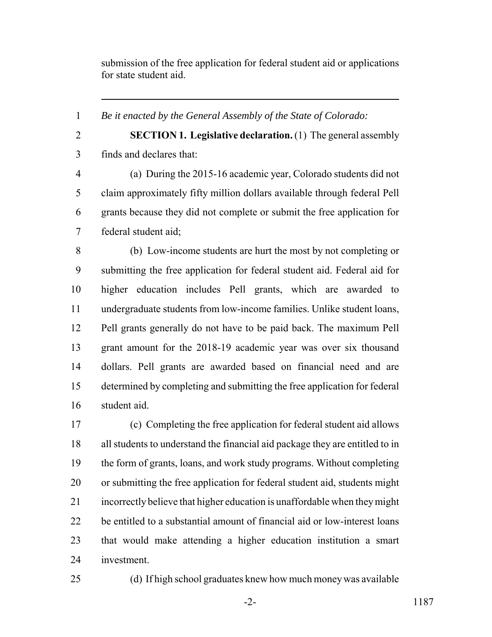submission of the free application for federal student aid or applications for state student aid.

*Be it enacted by the General Assembly of the State of Colorado:*

 **SECTION 1. Legislative declaration.** (1) The general assembly finds and declares that:

 (a) During the 2015-16 academic year, Colorado students did not claim approximately fifty million dollars available through federal Pell grants because they did not complete or submit the free application for federal student aid;

 (b) Low-income students are hurt the most by not completing or submitting the free application for federal student aid. Federal aid for higher education includes Pell grants, which are awarded to undergraduate students from low-income families. Unlike student loans, Pell grants generally do not have to be paid back. The maximum Pell grant amount for the 2018-19 academic year was over six thousand dollars. Pell grants are awarded based on financial need and are determined by completing and submitting the free application for federal student aid.

 (c) Completing the free application for federal student aid allows all students to understand the financial aid package they are entitled to in the form of grants, loans, and work study programs. Without completing or submitting the free application for federal student aid, students might incorrectly believe that higher education is unaffordable when they might be entitled to a substantial amount of financial aid or low-interest loans that would make attending a higher education institution a smart investment.

(d) If high school graduates knew how much money was available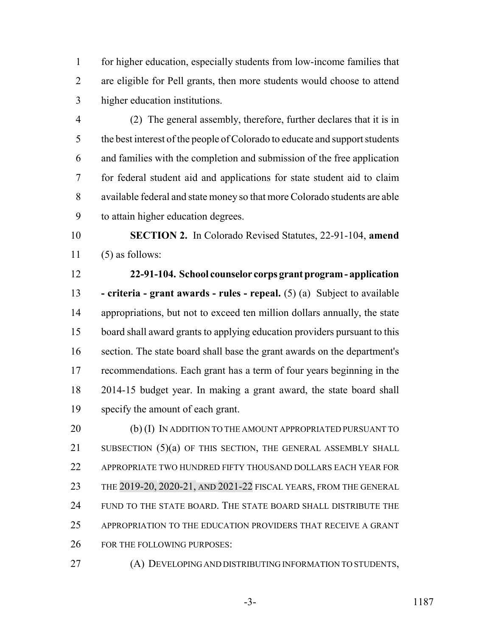for higher education, especially students from low-income families that are eligible for Pell grants, then more students would choose to attend higher education institutions.

 (2) The general assembly, therefore, further declares that it is in the best interest of the people of Colorado to educate and support students and families with the completion and submission of the free application for federal student aid and applications for state student aid to claim available federal and state money so that more Colorado students are able to attain higher education degrees.

 **SECTION 2.** In Colorado Revised Statutes, 22-91-104, **amend** (5) as follows:

 **22-91-104. School counselor corps grant program - application - criteria - grant awards - rules - repeal.** (5) (a) Subject to available appropriations, but not to exceed ten million dollars annually, the state board shall award grants to applying education providers pursuant to this section. The state board shall base the grant awards on the department's recommendations. Each grant has a term of four years beginning in the 2014-15 budget year. In making a grant award, the state board shall specify the amount of each grant.

20 (b) (I) IN ADDITION TO THE AMOUNT APPROPRIATED PURSUANT TO 21 SUBSECTION (5)(a) OF THIS SECTION, THE GENERAL ASSEMBLY SHALL APPROPRIATE TWO HUNDRED FIFTY THOUSAND DOLLARS EACH YEAR FOR THE 2019-20, 2020-21, AND 2021-22 FISCAL YEARS, FROM THE GENERAL FUND TO THE STATE BOARD. THE STATE BOARD SHALL DISTRIBUTE THE APPROPRIATION TO THE EDUCATION PROVIDERS THAT RECEIVE A GRANT FOR THE FOLLOWING PURPOSES:

(A) DEVELOPING AND DISTRIBUTING INFORMATION TO STUDENTS,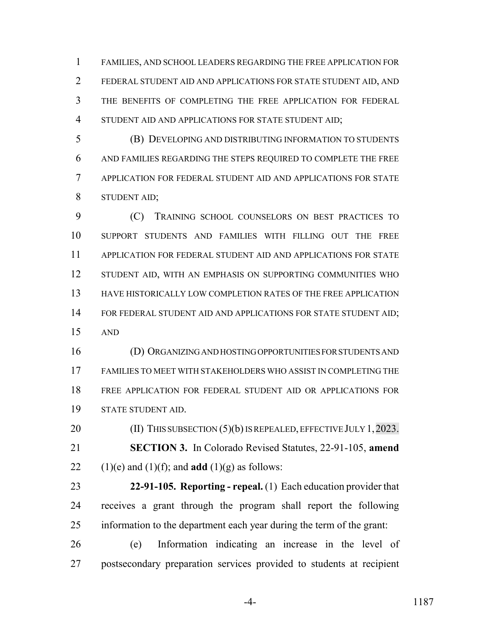FAMILIES, AND SCHOOL LEADERS REGARDING THE FREE APPLICATION FOR FEDERAL STUDENT AID AND APPLICATIONS FOR STATE STUDENT AID, AND THE BENEFITS OF COMPLETING THE FREE APPLICATION FOR FEDERAL STUDENT AID AND APPLICATIONS FOR STATE STUDENT AID;

 (B) DEVELOPING AND DISTRIBUTING INFORMATION TO STUDENTS AND FAMILIES REGARDING THE STEPS REQUIRED TO COMPLETE THE FREE APPLICATION FOR FEDERAL STUDENT AID AND APPLICATIONS FOR STATE STUDENT AID;

 (C) TRAINING SCHOOL COUNSELORS ON BEST PRACTICES TO SUPPORT STUDENTS AND FAMILIES WITH FILLING OUT THE FREE APPLICATION FOR FEDERAL STUDENT AID AND APPLICATIONS FOR STATE 12 STUDENT AID, WITH AN EMPHASIS ON SUPPORTING COMMUNITIES WHO HAVE HISTORICALLY LOW COMPLETION RATES OF THE FREE APPLICATION 14 FOR FEDERAL STUDENT AID AND APPLICATIONS FOR STATE STUDENT AID; AND

 (D) ORGANIZING AND HOSTING OPPORTUNITIES FOR STUDENTS AND FAMILIES TO MEET WITH STAKEHOLDERS WHO ASSIST IN COMPLETING THE FREE APPLICATION FOR FEDERAL STUDENT AID OR APPLICATIONS FOR STATE STUDENT AID.

20 (II) THIS SUBSECTION (5)(b) IS REPEALED, EFFECTIVE JULY 1, 2023. **SECTION 3.** In Colorado Revised Statutes, 22-91-105, **amend** 22 (1)(e) and (1)(f); and **add** (1)(g) as follows:

 **22-91-105. Reporting - repeal.** (1) Each education provider that receives a grant through the program shall report the following information to the department each year during the term of the grant:

 (e) Information indicating an increase in the level of postsecondary preparation services provided to students at recipient